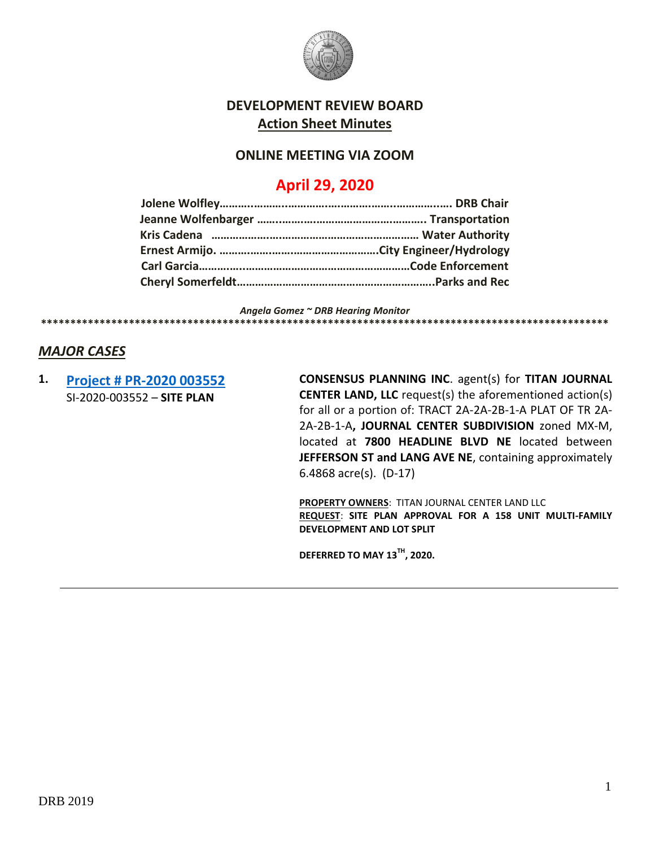

# **DEVELOPMENT REVIEW BOARD Action Sheet Minutes**

## **ONLINE MEETING VIA ZOOM**

# **April 29, 2020**

*Angela Gomez ~ DRB Hearing Monitor* **\*\*\*\*\*\*\*\*\*\*\*\*\*\*\*\*\*\*\*\*\*\*\*\*\*\*\*\*\*\*\*\*\*\*\*\*\*\*\*\*\*\*\*\*\*\*\*\*\*\*\*\*\*\*\*\*\*\*\*\*\*\*\*\*\*\*\*\*\*\*\*\*\*\*\*\*\*\*\*\*\*\*\*\*\*\*\*\*\*\*\*\*\*\*\*\*\***

### *MAJOR CASES*

**1. Project [# PR-2020 003552](http://data.cabq.gov/government/planning/DRB/PR-2020-003552/DRB%20Submittals/PR-2020-003552_April_29_2020/Application/)** SI-2020-003552 – **SITE PLAN**

**CONSENSUS PLANNING INC**. agent(s) for **TITAN JOURNAL CENTER LAND, LLC** request(s) the aforementioned action(s) for all or a portion of: TRACT 2A-2A-2B-1-A PLAT OF TR 2A-2A-2B-1-A**, JOURNAL CENTER SUBDIVISION** zoned MX-M, located at **7800 HEADLINE BLVD NE** located between **JEFFERSON ST and LANG AVE NE**, containing approximately 6.4868 acre(s). (D-17)

**PROPERTY OWNERS**: TITAN JOURNAL CENTER LAND LLC **REQUEST**: **SITE PLAN APPROVAL FOR A 158 UNIT MULTI-FAMILY DEVELOPMENT AND LOT SPLIT**

**DEFERRED TO MAY 13TH , 2020.**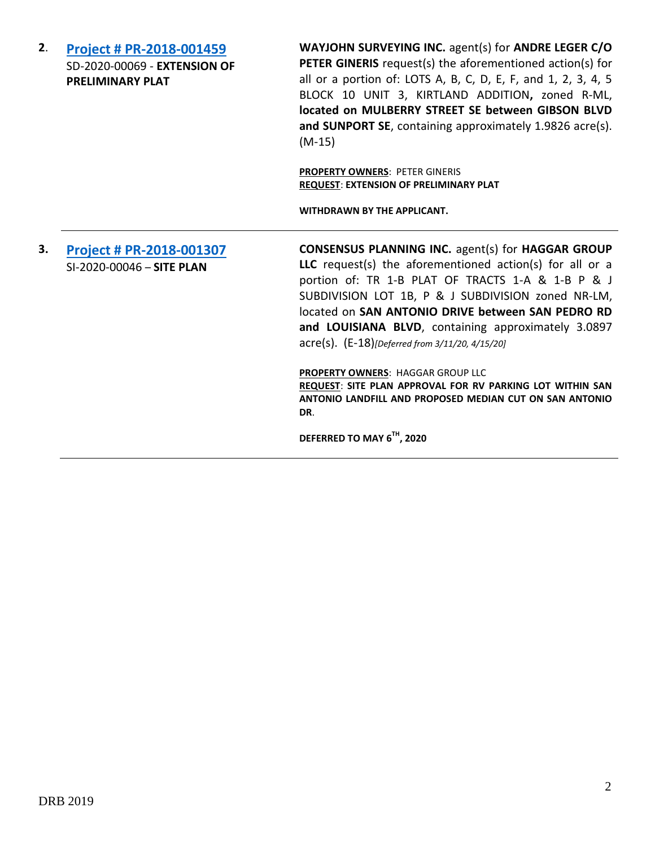**2**. **[Project # PR-2018-001459](http://data.cabq.gov/government/planning/DRB/PR-2018-001459/DRB%20Submittals/PR-2018-001459_April_29_2020/Application/)** SD-2020-00069 - **EXTENSION OF PRELIMINARY PLAT**

**WAYJOHN SURVEYING INC.** agent(s) for **ANDRE LEGER C/O PETER GINERIS** request(s) the aforementioned action(s) for all or a portion of: LOTS A, B, C, D, E, F, and 1, 2, 3, 4, 5 BLOCK 10 UNIT 3, KIRTLAND ADDITION**,** zoned R-ML, **located on MULBERRY STREET SE between GIBSON BLVD and SUNPORT SE**, containing approximately 1.9826 acre(s). (M-15)

**PROPERTY OWNERS**: PETER GINERIS **REQUEST**: **EXTENSION OF PRELIMINARY PLAT**

**WITHDRAWN BY THE APPLICANT.**

# **3. [Project # PR-2018-001307](http://data.cabq.gov/government/planning/DRB/PR-2018-001307/DRB%20submittals/PR-2018-001307_(P%20&%20J%20Subdivision)_March_11_2020/Application/02.14.2020%20Application%20Site%20Plan-DRB,%20Haggar%20Group,%20LLC..pdf)** SI-2020-00046 – **SITE PLAN**

**CONSENSUS PLANNING INC.** agent(s) for **HAGGAR GROUP LLC** request(s) the aforementioned action(s) for all or a portion of: TR 1-B PLAT OF TRACTS 1-A & 1-B P & J SUBDIVISION LOT 1B, P & J SUBDIVISION zoned NR-LM, located on **SAN ANTONIO DRIVE between SAN PEDRO RD and LOUISIANA BLVD**, containing approximately 3.0897 acre(s). (E-18)*[Deferred from 3/11/20, 4/15/20]*

**PROPERTY OWNERS**: HAGGAR GROUP LLC **REQUEST**: **SITE PLAN APPROVAL FOR RV PARKING LOT WITHIN SAN ANTONIO LANDFILL AND PROPOSED MEDIAN CUT ON SAN ANTONIO DR**.

**DEFERRED TO MAY 6TH , 2020**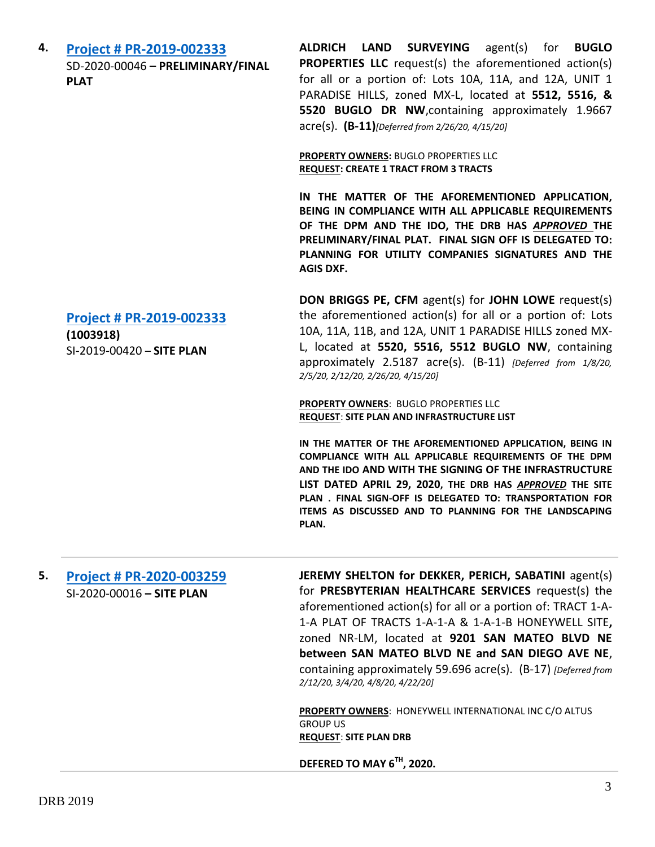**4. [Project # PR-2019-002333](http://data.cabq.gov/government/planning/DRB/PR-2019-002333/DRB%20Submittals/PR-2019-002333_(Paradise%20Hills%20on%20Buglo%20Dr.)_Feb_26_2020/Application/DRB%20Application%20-%20PR-2019-002333.pdf)** SD-2020-00046 **– PRELIMINARY/FINAL PLAT**

**ALDRICH LAND SURVEYING** agent(s) for **BUGLO PROPERTIES LLC** request(s) the aforementioned action(s) for all or a portion of: Lots 10A, 11A, and 12A, UNIT 1 PARADISE HILLS, zoned MX-L, located at **5512, 5516, & 5520 BUGLO DR NW**,containing approximately 1.9667 acre(s). **(B-11)***[Deferred from 2/26/20, 4/15/20]*

**PROPERTY OWNERS:** BUGLO PROPERTIES LLC **REQUEST: CREATE 1 TRACT FROM 3 TRACTS**

**IN THE MATTER OF THE AFOREMENTIONED APPLICATION, BEING IN COMPLIANCE WITH ALL APPLICABLE REQUIREMENTS OF THE DPM AND THE IDO, THE DRB HAS** *APPROVED* **THE PRELIMINARY/FINAL PLAT. FINAL SIGN OFF IS DELEGATED TO: PLANNING FOR UTILITY COMPANIES SIGNATURES AND THE AGIS DXF.**

**DON BRIGGS PE, CFM** agent(s) for **JOHN LOWE** request(s) the aforementioned action(s) for all or a portion of: Lots 10A, 11A, 11B, and 12A, UNIT 1 PARADISE HILLS zoned MX-L, located at **5520, 5516, 5512 BUGLO NW**, containing approximately 2.5187 acre(s). (B-11) *[Deferred from 1/8/20, 2/5/20, 2/12/20, 2/26/20, 4/15/20]*

**PROPERTY OWNERS**: BUGLO PROPERTIES LLC **REQUEST**: **SITE PLAN AND INFRASTRUCTURE LIST**

**IN THE MATTER OF THE AFOREMENTIONED APPLICATION, BEING IN COMPLIANCE WITH ALL APPLICABLE REQUIREMENTS OF THE DPM AND THE IDO AND WITH THE SIGNING OF THE INFRASTRUCTURE LIST DATED APRIL 29, 2020, THE DRB HAS** *APPROVED* **THE SITE PLAN . FINAL SIGN-OFF IS DELEGATED TO: TRANSPORTATION FOR ITEMS AS DISCUSSED AND TO PLANNING FOR THE LANDSCAPING PLAN.**

#### **5. [Project # PR-2020-003259](http://data.cabq.gov/government/planning/DRB/PR-2020-003259/DRB%20Submittals/PR-2020-003259_Feb_12_2020/Application/)** SI-2020-00016 **– SITE PLAN**

**JEREMY SHELTON for DEKKER, PERICH, SABATINI** agent(s) for **PRESBYTERIAN HEALTHCARE SERVICES** request(s) the aforementioned action(s) for all or a portion of: TRACT 1-A-1-A PLAT OF TRACTS 1-A-1-A & 1-A-1-B HONEYWELL SITE**,** zoned NR-LM, located at **9201 SAN MATEO BLVD NE between SAN MATEO BLVD NE and SAN DIEGO AVE NE**, containing approximately 59.696 acre(s). (B-17) *[Deferred from 2/12/20, 3/4/20, 4/8/20, 4/22/20]*

**PROPERTY OWNERS**: HONEYWELL INTERNATIONAL INC C/O ALTUS GROUP US **REQUEST**: **SITE PLAN DRB**

**DEFERED TO MAY 6TH , 2020.**

**[Project # PR-2019-002333](http://data.cabq.gov/government/planning/DRB/PR-2019-002333/DRB%20Submittals/PR-2019-002333_(Paradise%20Hills%20on%20Buglo%20Dr.)_April_15_2020_Supplemental/)**

**(1003918)** SI-2019-00420 – **SITE PLAN**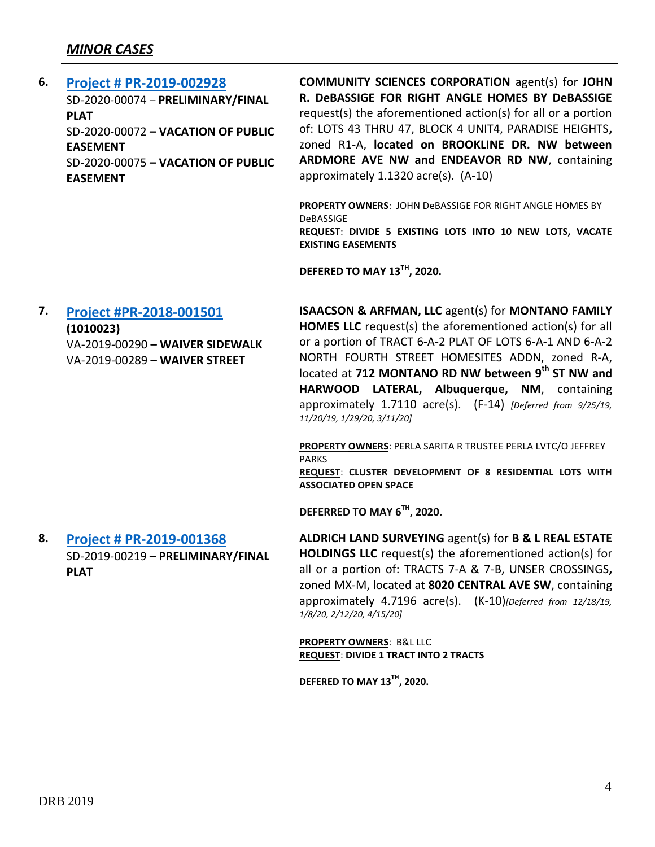| 6. | <b>Project # PR-2019-002928</b><br>SD-2020-00074 - PRELIMINARY/FINAL<br><b>PLAT</b><br>SD-2020-00072 - VACATION OF PUBLIC<br><b>EASEMENT</b><br>SD-2020-00075 - VACATION OF PUBLIC<br><b>EASEMENT</b> | <b>COMMUNITY SCIENCES CORPORATION agent(s) for JOHN</b><br>R. DeBASSIGE FOR RIGHT ANGLE HOMES BY DeBASSIGE<br>request(s) the aforementioned action(s) for all or a portion<br>of: LOTS 43 THRU 47, BLOCK 4 UNIT4, PARADISE HEIGHTS,<br>zoned R1-A, located on BROOKLINE DR. NW between<br>ARDMORE AVE NW and ENDEAVOR RD NW, containing<br>approximately 1.1320 acre(s). (A-10)<br>PROPERTY OWNERS: JOHN DeBASSIGE FOR RIGHT ANGLE HOMES BY<br>DeBASSIGE<br>REQUEST: DIVIDE 5 EXISTING LOTS INTO 10 NEW LOTS, VACATE<br><b>EXISTING EASEMENTS</b><br>DEFERED TO MAY 13TH, 2020. |
|----|-------------------------------------------------------------------------------------------------------------------------------------------------------------------------------------------------------|---------------------------------------------------------------------------------------------------------------------------------------------------------------------------------------------------------------------------------------------------------------------------------------------------------------------------------------------------------------------------------------------------------------------------------------------------------------------------------------------------------------------------------------------------------------------------------|
| 7. | Project #PR-2018-001501<br>(1010023)<br>VA-2019-00290 - WAIVER SIDEWALK<br>VA-2019-00289 - WAIVER STREET                                                                                              | <b>ISAACSON &amp; ARFMAN, LLC agent(s) for MONTANO FAMILY</b><br>HOMES LLC request(s) the aforementioned action(s) for all<br>or a portion of TRACT 6-A-2 PLAT OF LOTS 6-A-1 AND 6-A-2<br>NORTH FOURTH STREET HOMESITES ADDN, zoned R-A,<br>located at 712 MONTANO RD NW between 9 <sup>th</sup> ST NW and<br>HARWOOD LATERAL, Albuquerque, NM, containing<br>approximately 1.7110 acre(s). (F-14) [Deferred from 9/25/19,<br>11/20/19, 1/29/20, 3/11/20]<br>PROPERTY OWNERS: PERLA SARITA R TRUSTEE PERLA LVTC/O JEFFREY                                                       |
|    |                                                                                                                                                                                                       | <b>PARKS</b><br>REQUEST: CLUSTER DEVELOPMENT OF 8 RESIDENTIAL LOTS WITH<br><b>ASSOCIATED OPEN SPACE</b><br>DEFERRED TO MAY 6TH, 2020.                                                                                                                                                                                                                                                                                                                                                                                                                                           |
| 8. | <b>Project # PR-2019-001368</b><br>SD-2019-00219 - PRELIMINARY/FINAL<br><b>PLAT</b>                                                                                                                   | ALDRICH LAND SURVEYING agent(s) for B & L REAL ESTATE<br>HOLDINGS LLC request(s) the aforementioned action(s) for<br>all or a portion of: TRACTS 7-A & 7-B, UNSER CROSSINGS,<br>zoned MX-M, located at 8020 CENTRAL AVE SW, containing<br>approximately 4.7196 acre(s). (K-10)[Deferred from 12/18/19,<br>1/8/20, 2/12/20, 4/15/20]                                                                                                                                                                                                                                             |
|    |                                                                                                                                                                                                       | PROPERTY OWNERS: B&L LLC<br><b>REQUEST: DIVIDE 1 TRACT INTO 2 TRACTS</b><br>DEFERED TO MAY 13TH, 2020.                                                                                                                                                                                                                                                                                                                                                                                                                                                                          |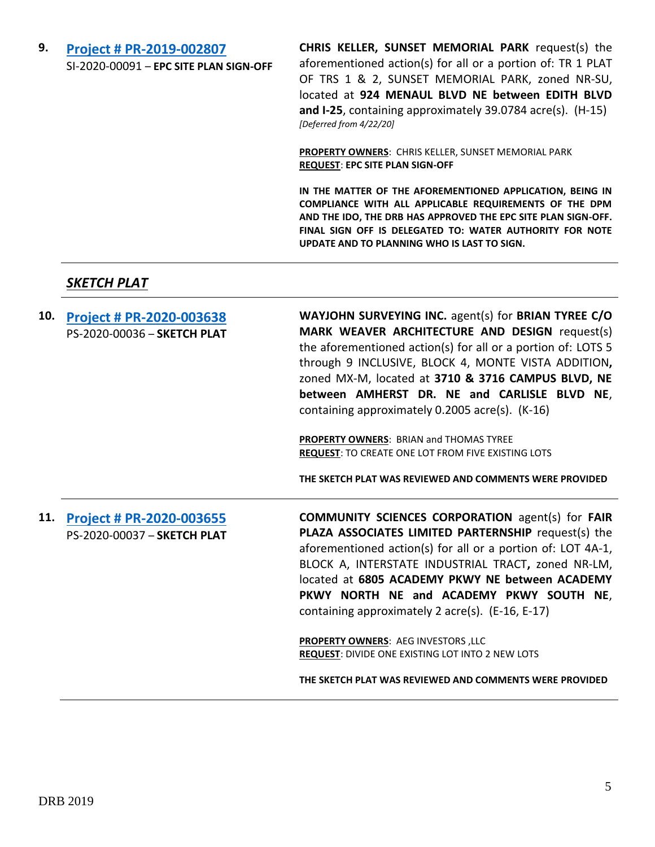## **9. [Project # PR-2019-002807](http://data.cabq.gov/government/planning/DRB/PR-2019-002807/DRB%20Submittals/PR-2019-002807_Apr_22_2020/Application/PR-2019-002807.pdf)** SI-2020-00091 – **EPC SITE PLAN SIGN-OFF**

**CHRIS KELLER, SUNSET MEMORIAL PARK** request(s) the aforementioned action(s) for all or a portion of: TR 1 PLAT OF TRS 1 & 2, SUNSET MEMORIAL PARK, zoned NR-SU, located at **924 MENAUL BLVD NE between EDITH BLVD and I-25**, containing approximately 39.0784 acre(s). (H-15) *[Deferred from 4/22/20]*

**PROPERTY OWNERS**: CHRIS KELLER, SUNSET MEMORIAL PARK **REQUEST**: **EPC SITE PLAN SIGN-OFF**

**IN THE MATTER OF THE AFOREMENTIONED APPLICATION, BEING IN COMPLIANCE WITH ALL APPLICABLE REQUIREMENTS OF THE DPM AND THE IDO, THE DRB HAS APPROVED THE EPC SITE PLAN SIGN-OFF. FINAL SIGN OFF IS DELEGATED TO: WATER AUTHORITY FOR NOTE UPDATE AND TO PLANNING WHO IS LAST TO SIGN.**

#### *SKETCH PLAT*

| 10. | Project # PR-2020-003638<br>PS-2020-00036 - SKETCH PLAT | WAYJOHN SURVEYING INC. agent(s) for BRIAN TYREE C/O<br>MARK WEAVER ARCHITECTURE AND DESIGN request(s)<br>the aforementioned action(s) for all or a portion of: LOTS 5<br>through 9 INCLUSIVE, BLOCK 4, MONTE VISTA ADDITION,<br>zoned MX-M, located at 3710 & 3716 CAMPUS BLVD, NE<br>between AMHERST DR. NE and CARLISLE BLVD NE,<br>containing approximately 0.2005 acre(s). (K-16)<br><b>PROPERTY OWNERS: BRIAN and THOMAS TYREE</b><br><b>REQUEST: TO CREATE ONE LOT FROM FIVE EXISTING LOTS</b> |
|-----|---------------------------------------------------------|------------------------------------------------------------------------------------------------------------------------------------------------------------------------------------------------------------------------------------------------------------------------------------------------------------------------------------------------------------------------------------------------------------------------------------------------------------------------------------------------------|
|     |                                                         | THE SKETCH PLAT WAS REVIEWED AND COMMENTS WERE PROVIDED                                                                                                                                                                                                                                                                                                                                                                                                                                              |
| 11. | Project # PR-2020-003655<br>PS-2020-00037 - SKETCH PLAT | <b>COMMUNITY SCIENCES CORPORATION agent(s) for FAIR</b><br>PLAZA ASSOCIATES LIMITED PARTERNSHIP request(s) the<br>aforementioned action(s) for all or a portion of: LOT 4A-1,<br>BLOCK A, INTERSTATE INDUSTRIAL TRACT, zoned NR-LM,<br>located at 6805 ACADEMY PKWY NE between ACADEMY<br>PKWY NORTH NE and ACADEMY PKWY SOUTH NE,<br>containing approximately 2 acre(s). (E-16, E-17)<br>PROPERTY OWNERS: AEG INVESTORS, LLC<br>REQUEST: DIVIDE ONE EXISTING LOT INTO 2 NEW LOTS                    |
|     |                                                         | THE SKETCH PLAT WAS REVIEWED AND COMMENTS WERE PROVIDED                                                                                                                                                                                                                                                                                                                                                                                                                                              |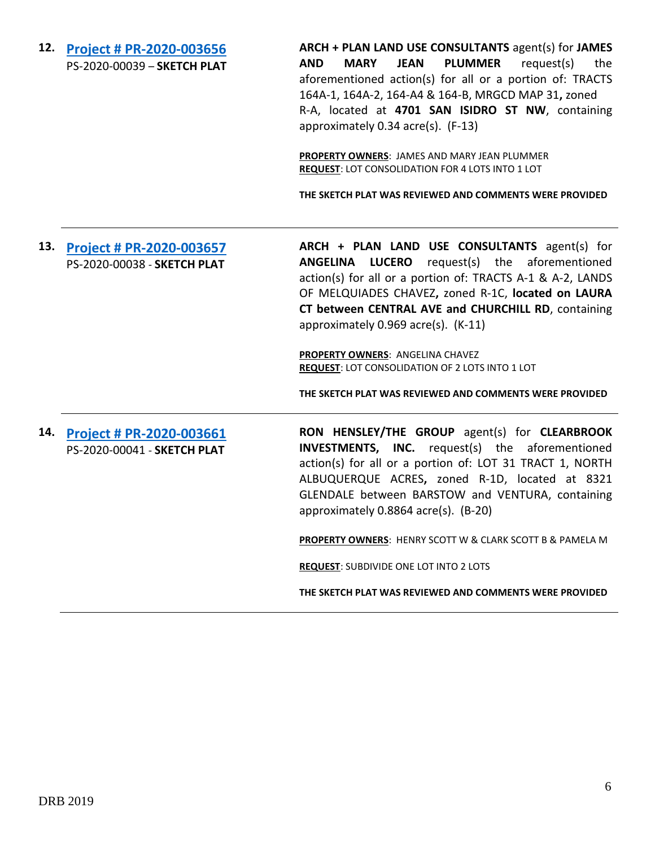**12. [Project # PR-2020-003656](http://data.cabq.gov/government/planning/DRB/PR-2020-003656/DRB%20Submittals/PR-2020-003656_April_29_2020/Application/SKETCH%20PLAT%20-%20LANDS%20OF%20JAMES%20%20MARY%20PLUMMER.pdf)** PS-2020-00039 – **SKETCH PLAT** **ARCH + PLAN LAND USE CONSULTANTS** agent(s) for **JAMES AND MARY JEAN PLUMMER** request(s) the aforementioned action(s) for all or a portion of: TRACTS 164A-1, 164A-2, 164-A4 & 164-B, MRGCD MAP 31**,** zoned R-A, located at **4701 SAN ISIDRO ST NW**, containing approximately 0.34 acre(s). (F-13)

**PROPERTY OWNERS**: JAMES AND MARY JEAN PLUMMER **REQUEST**: LOT CONSOLIDATION FOR 4 LOTS INTO 1 LOT

**THE SKETCH PLAT WAS REVIEWED AND COMMENTS WERE PROVIDED**

**13. [Project # PR-2020-003657](http://data.cabq.gov/government/planning/DRB/PR-2020-003657/DRB%20Submittals/PR-2020-003657_Apr_29_2020/Application/DRB%20Sketch%20Plat%20PR-2020-003657%20SIGNED%20APPLICATION.pdf)** PS-2020-00038 - **SKETCH PLAT ARCH + PLAN LAND USE CONSULTANTS** agent(s) for **ANGELINA LUCERO** request(s) the aforementioned action(s) for all or a portion of: TRACTS A-1 & A-2, LANDS OF MELQUIADES CHAVEZ**,** zoned R-1C, **located on LAURA CT between CENTRAL AVE and CHURCHILL RD**, containing approximately 0.969 acre(s). (K-11)

> **PROPERTY OWNERS**: ANGELINA CHAVEZ **REQUEST**: LOT CONSOLIDATION OF 2 LOTS INTO 1 LOT

**THE SKETCH PLAT WAS REVIEWED AND COMMENTS WERE PROVIDED**

**14. [Project # PR-2020-003661](http://data.cabq.gov/government/planning/DRB/PR-2020-003661/DRB%20Submittals/PR-2020-003661_Apr_29_2020/Application/DRB%20Sketch%20Plat%20PR-2020-003661%20SIGNED%20APPLICATION.pdf)** PS-2020-00041 - **SKETCH PLAT RON HENSLEY/THE GROUP** agent(s) for **CLEARBROOK INVESTMENTS, INC.** request(s) the aforementioned action(s) for all or a portion of: LOT 31 TRACT 1, NORTH ALBUQUERQUE ACRES**,** zoned R-1D, located at 8321 GLENDALE between BARSTOW and VENTURA, containing approximately 0.8864 acre(s). (B-20)

**PROPERTY OWNERS**: HENRY SCOTT W & CLARK SCOTT B & PAMELA M

**REQUEST**: SUBDIVIDE ONE LOT INTO 2 LOTS

**THE SKETCH PLAT WAS REVIEWED AND COMMENTS WERE PROVIDED**